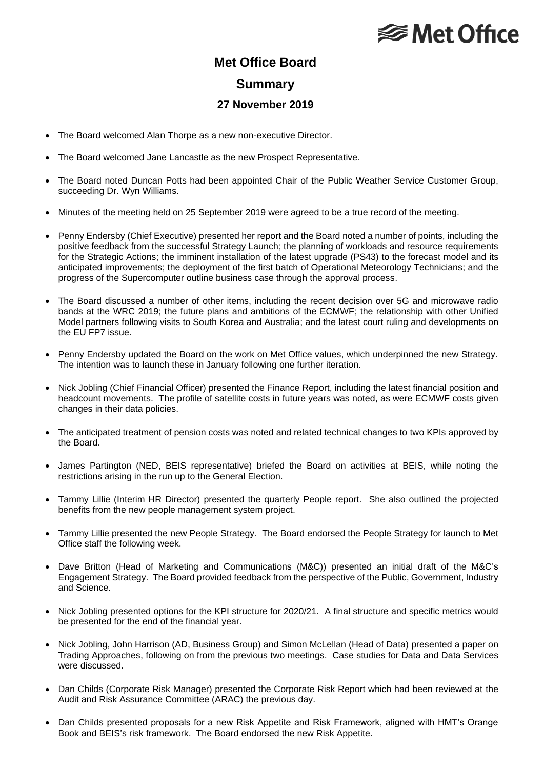# **<del></del>** Met Office

### **Met Office Board**

#### **Summary**

#### **27 November 2019**

- The Board welcomed Alan Thorpe as a new non-executive Director.
- The Board welcomed Jane Lancastle as the new Prospect Representative.
- The Board noted Duncan Potts had been appointed Chair of the Public Weather Service Customer Group, succeeding Dr. Wyn Williams.
- Minutes of the meeting held on 25 September 2019 were agreed to be a true record of the meeting.
- Penny Endersby (Chief Executive) presented her report and the Board noted a number of points, including the positive feedback from the successful Strategy Launch; the planning of workloads and resource requirements for the Strategic Actions; the imminent installation of the latest upgrade (PS43) to the forecast model and its anticipated improvements; the deployment of the first batch of Operational Meteorology Technicians; and the progress of the Supercomputer outline business case through the approval process.
- The Board discussed a number of other items, including the recent decision over 5G and microwave radio bands at the WRC 2019; the future plans and ambitions of the ECMWF; the relationship with other Unified Model partners following visits to South Korea and Australia; and the latest court ruling and developments on the EU FP7 issue.
- Penny Endersby updated the Board on the work on Met Office values, which underpinned the new Strategy. The intention was to launch these in January following one further iteration.
- Nick Jobling (Chief Financial Officer) presented the Finance Report, including the latest financial position and headcount movements. The profile of satellite costs in future years was noted, as were ECMWF costs given changes in their data policies.
- The anticipated treatment of pension costs was noted and related technical changes to two KPIs approved by the Board.
- James Partington (NED, BEIS representative) briefed the Board on activities at BEIS, while noting the restrictions arising in the run up to the General Election.
- Tammy Lillie (Interim HR Director) presented the quarterly People report. She also outlined the projected benefits from the new people management system project.
- Tammy Lillie presented the new People Strategy. The Board endorsed the People Strategy for launch to Met Office staff the following week.
- Dave Britton (Head of Marketing and Communications (M&C)) presented an initial draft of the M&C's Engagement Strategy. The Board provided feedback from the perspective of the Public, Government, Industry and Science.
- Nick Jobling presented options for the KPI structure for 2020/21. A final structure and specific metrics would be presented for the end of the financial year.
- Nick Jobling, John Harrison (AD, Business Group) and Simon McLellan (Head of Data) presented a paper on Trading Approaches, following on from the previous two meetings. Case studies for Data and Data Services were discussed.
- Dan Childs (Corporate Risk Manager) presented the Corporate Risk Report which had been reviewed at the Audit and Risk Assurance Committee (ARAC) the previous day.
- Dan Childs presented proposals for a new Risk Appetite and Risk Framework, aligned with HMT's Orange Book and BEIS's risk framework. The Board endorsed the new Risk Appetite.